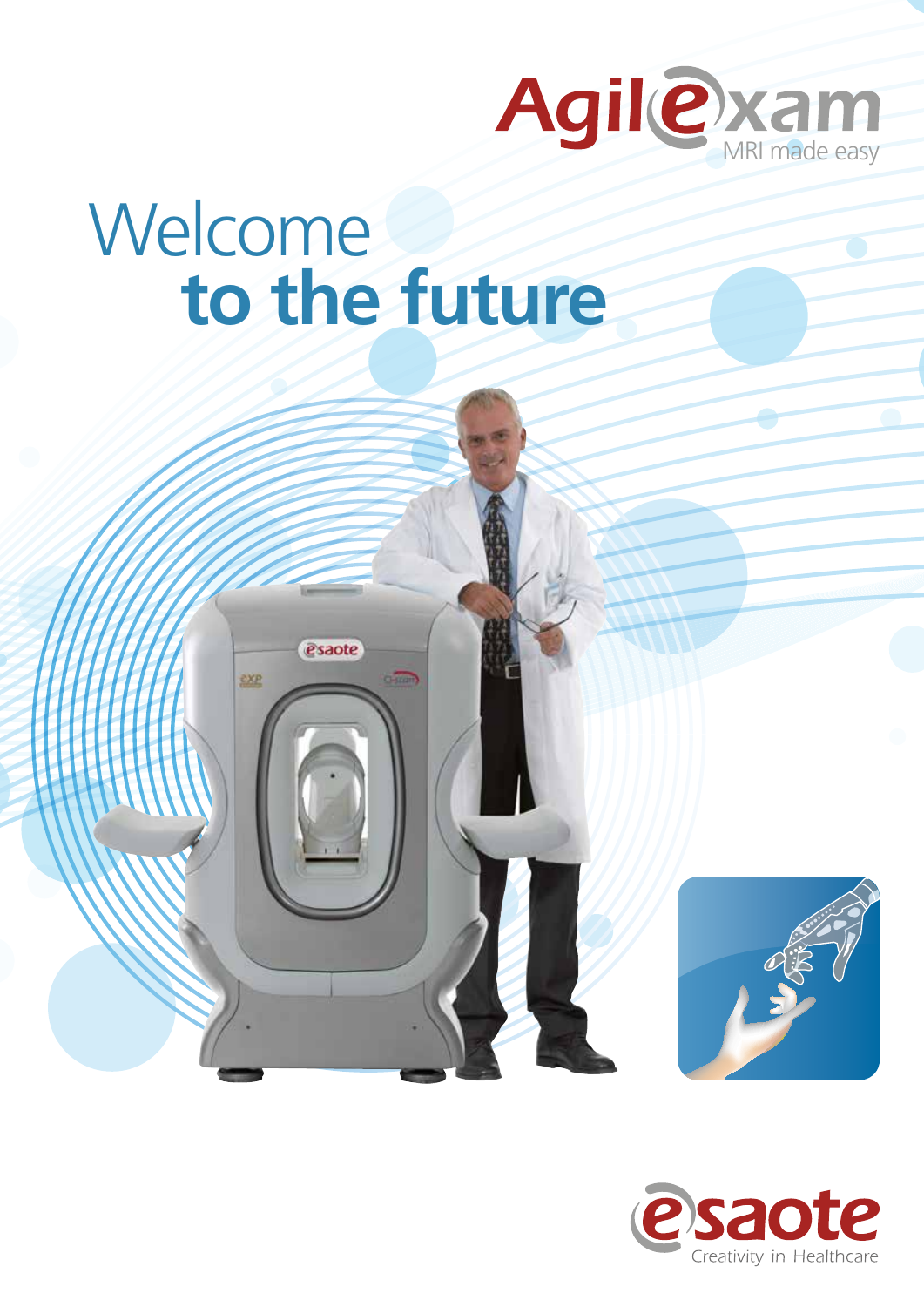

# Welcome **to the future**

esaote

EXP



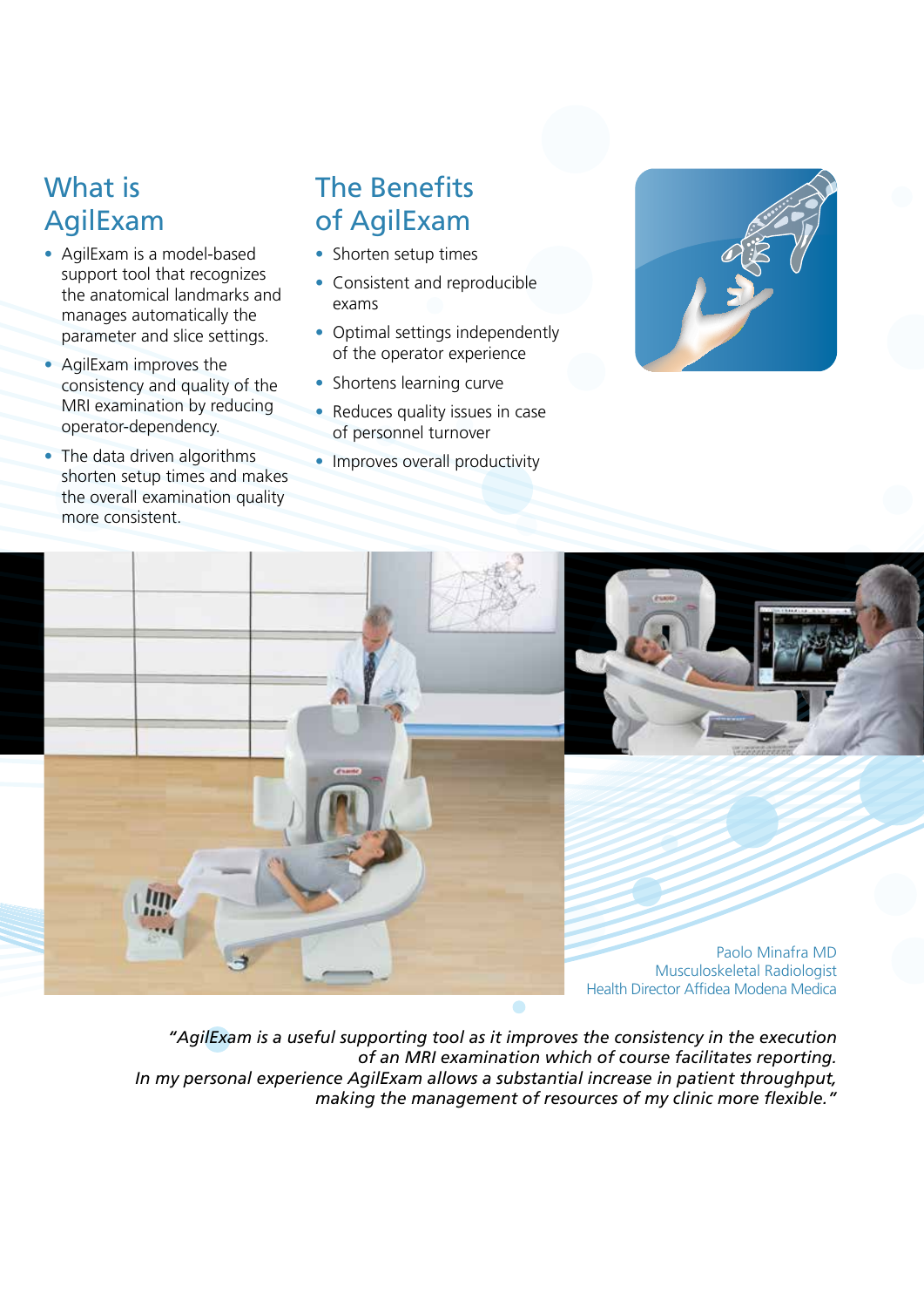### What is AgilExam

- AgilExam is a model-based support tool that recognizes the anatomical landmarks and manages automatically the parameter and slice settings.
- AgilExam improves the consistency and quality of the MRI examination by reducing operator-dependency.
- The data driven algorithms shorten setup times and makes the overall examination quality more consistent.

### The Benefits of AgilExam

- Shorten setup times
- Consistent and reproducible exams
- Optimal settings independently of the operator experience
- Shortens learning curve
- Reduces quality issues in case of personnel turnover
- Improves overall productivity







Paolo Minafra MD Musculoskeletal Radiologist Health Director Affidea Modena Medica

*"AgilExam is a useful supporting tool as it improves the consistency in the execution of an MRI examination which of course facilitates reporting. In my personal experience AgilExam allows a substantial increase in patient throughput, making the management of resources of my clinic more flexible."*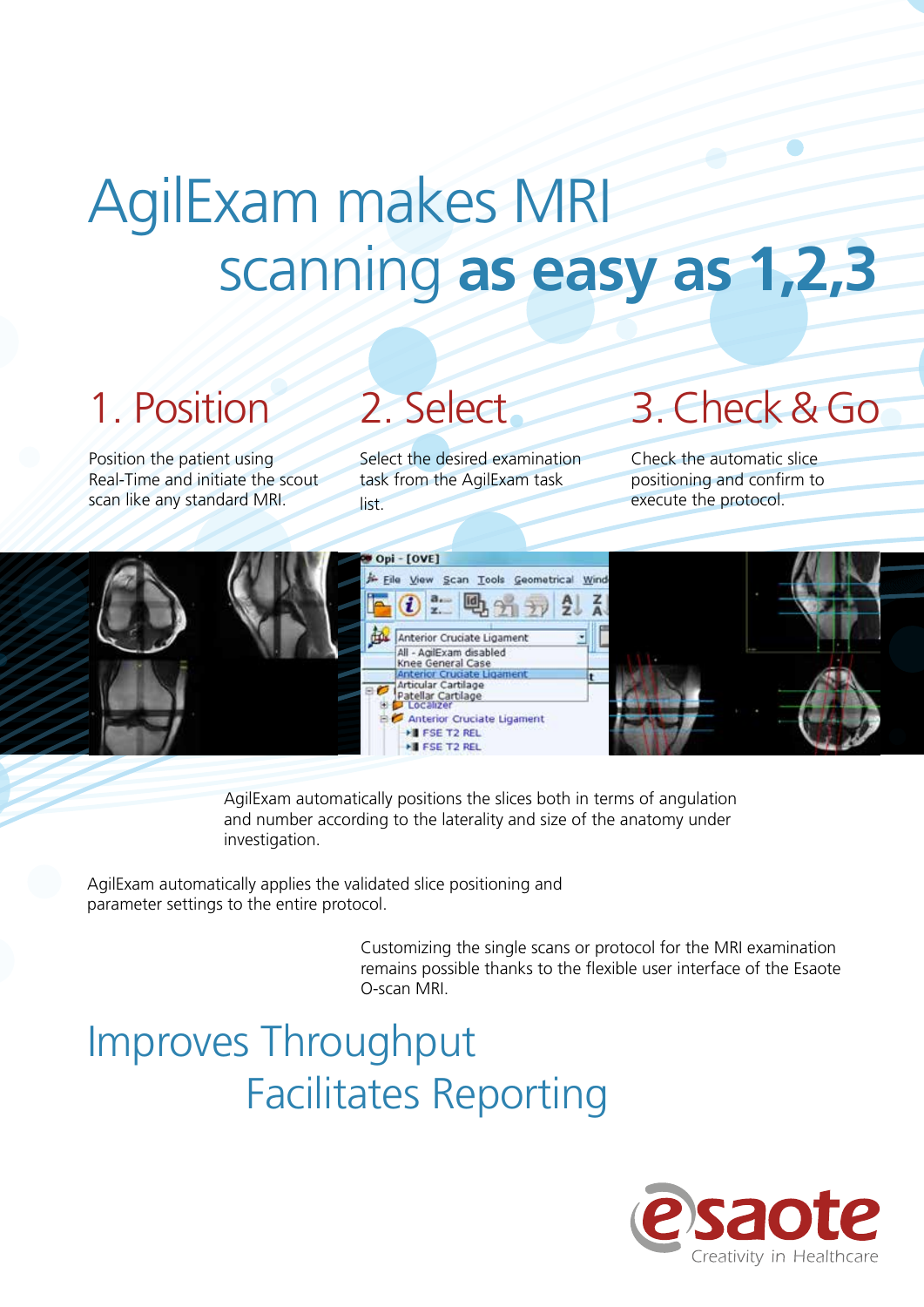## AgilExam makes MRI scanning **as easy as 1,2,3**

## 1. Position 2. Select 3. Check & Go

Position the patient using Real-Time and initiate the scout scan like any standard MRI.

Select the desired examination task from the AgilExam task list.

Check the automatic slice positioning and confirm to execute the protocol.



AgilExam automatically positions the slices both in terms of angulation and number according to the laterality and size of the anatomy under investigation.

AgilExam automatically applies the validated slice positioning and parameter settings to the entire protocol.

> Customizing the single scans or protocol for the MRI examination remains possible thanks to the flexible user interface of the Esaote O-scan MRI.

### Improves Throughput Facilitates Reporting